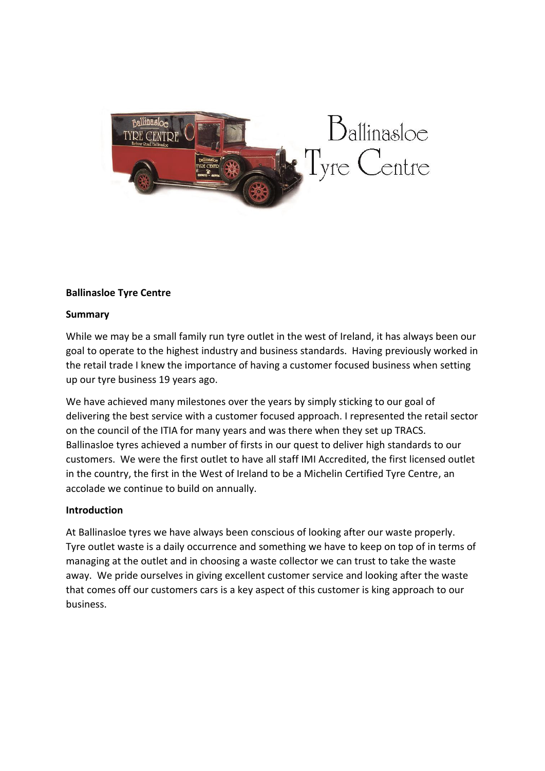

# **Ballinasloe Tyre Centre**

## **Summary**

While we may be a small family run tyre outlet in the west of Ireland, it has always been our goal to operate to the highest industry and business standards. Having previously worked in the retail trade I knew the importance of having a customer focused business when setting up our tyre business 19 years ago.

We have achieved many milestones over the years by simply sticking to our goal of delivering the best service with a customer focused approach. I represented the retail sector on the council of the ITIA for many years and was there when they set up TRACS. Ballinasloe tyres achieved a number of firsts in our quest to deliver high standards to our customers. We were the first outlet to have all staff IMI Accredited, the first licensed outlet in the country, the first in the West of Ireland to be a Michelin Certified Tyre Centre, an accolade we continue to build on annually.

# **Introduction**

At Ballinasloe tyres we have always been conscious of looking after our waste properly. Tyre outlet waste is a daily occurrence and something we have to keep on top of in terms of managing at the outlet and in choosing a waste collector we can trust to take the waste away. We pride ourselves in giving excellent customer service and looking after the waste that comes off our customers cars is a key aspect of this customer is king approach to our business.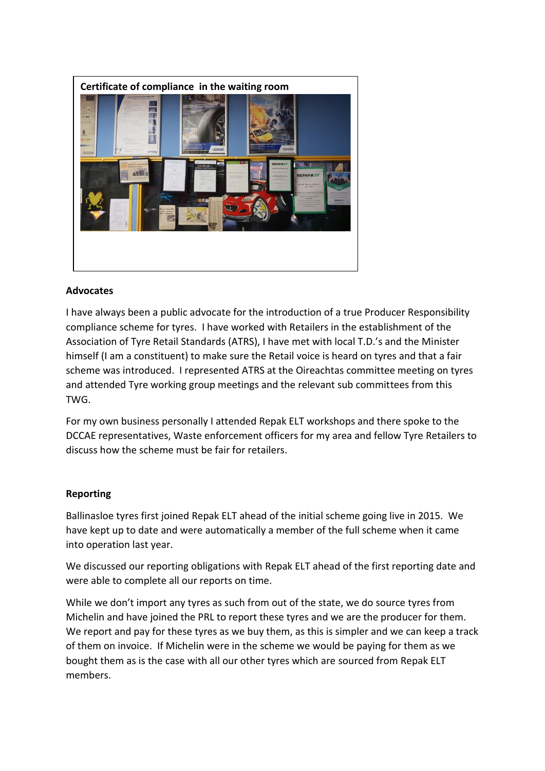

# **Advocates**

I have always been a public advocate for the introduction of a true Producer Responsibility compliance scheme for tyres. I have worked with Retailers in the establishment of the Association of Tyre Retail Standards (ATRS), I have met with local T.D.'s and the Minister himself (I am a constituent) to make sure the Retail voice is heard on tyres and that a fair scheme was introduced. I represented ATRS at the Oireachtas committee meeting on tyres and attended Tyre working group meetings and the relevant sub committees from this TWG.

For my own business personally I attended Repak ELT workshops and there spoke to the DCCAE representatives, Waste enforcement officers for my area and fellow Tyre Retailers to discuss how the scheme must be fair for retailers.

# **Reporting**

Ballinasloe tyres first joined Repak ELT ahead of the initial scheme going live in 2015. We have kept up to date and were automatically a member of the full scheme when it came into operation last year.

We discussed our reporting obligations with Repak ELT ahead of the first reporting date and were able to complete all our reports on time.

While we don't import any tyres as such from out of the state, we do source tyres from Michelin and have joined the PRL to report these tyres and we are the producer for them. We report and pay for these tyres as we buy them, as this is simpler and we can keep a track of them on invoice. If Michelin were in the scheme we would be paying for them as we bought them as is the case with all our other tyres which are sourced from Repak ELT members.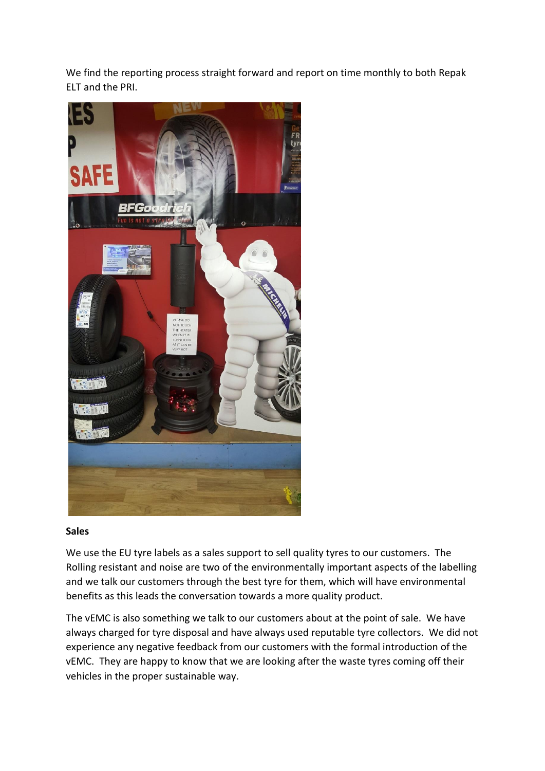We find the reporting process straight forward and report on time monthly to both Repak ELT and the PRI.



#### **Sales**

We use the EU tyre labels as a sales support to sell quality tyres to our customers. The Rolling resistant and noise are two of the environmentally important aspects of the labelling and we talk our customers through the best tyre for them, which will have environmental benefits as this leads the conversation towards a more quality product.

The vEMC is also something we talk to our customers about at the point of sale. We have always charged for tyre disposal and have always used reputable tyre collectors. We did not experience any negative feedback from our customers with the formal introduction of the vEMC. They are happy to know that we are looking after the waste tyres coming off their vehicles in the proper sustainable way.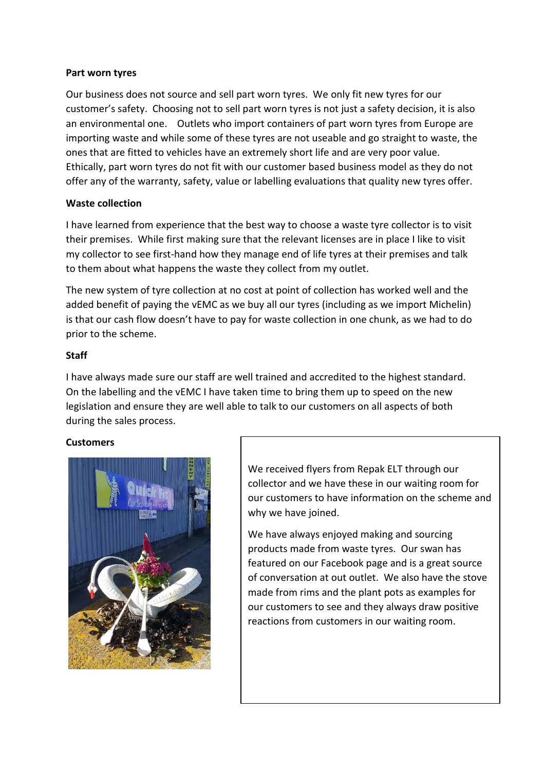## **Part worn tyres**

Our business does not source and sell part worn tyres. We only fit new tyres for our customer's safety. Choosing not to sell part worn tyres is not just a safety decision, it is also an environmental one. Outlets who import containers of part worn tyres from Europe are importing waste and while some of these tyres are not useable and go straight to waste, the ones that are fitted to vehicles have an extremely short life and are very poor value. Ethically, part worn tyres do not fit with our customer based business model as they do not offer any of the warranty, safety, value or labelling evaluations that quality new tyres offer.

## **Waste collection**

I have learned from experience that the best way to choose a waste tyre collector is to visit their premises. While first making sure that the relevant licenses are in place I like to visit my collector to see first-hand how they manage end of life tyres at their premises and talk to them about what happens the waste they collect from my outlet.

The new system of tyre collection at no cost at point of collection has worked well and the added benefit of paying the vEMC as we buy all our tyres (including as we import Michelin) is that our cash flow doesn't have to pay for waste collection in one chunk, as we had to do prior to the scheme.

# **Staff**

I have always made sure our staff are well trained and accredited to the highest standard. On the labelling and the vEMC I have taken time to bring them up to speed on the new legislation and ensure they are well able to talk to our customers on all aspects of both during the sales process.

# **Customers**



We received flyers from Repak ELT through our collector and we have these in our waiting room for our customers to have information on the scheme and why we have joined.

We have always enjoyed making and sourcing products made from waste tyres. Our swan has featured on our Facebook page and is a great source of conversation at out outlet. We also have the stove made from rims and the plant pots as examples for our customers to see and they always draw positive reactions from customers in our waiting room.